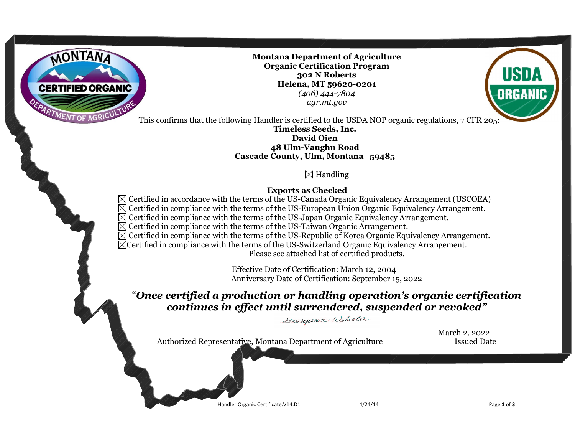

**Montana Department of Agriculture Organic Certification Program 302 N Roberts Helena, MT 59620-0201** *(406) 444-7804 agr.mt.gov*



ORGANIO

**Timeless Seeds, Inc. David Oien 48 Ulm-Vaughn Road Cascade County, Ulm, Montana 59485**

# $\boxtimes$  Handling

## **Exports as Checked**

 $\boxtimes$  Certified in accordance with the terms of the US-Canada Organic Equivalency Arrangement (USCOEA)  $\boxtimes$  Certified in compliance with the terms of the US-European Union Organic Equivalency Arrangement.  $\overline{\boxtimes}$  Certified in compliance with the terms of the US-Japan Organic Equivalency Arrangement.  $\boxtimes$  Certified in compliance with the terms of the US-Taiwan Organic Arrangement.  $\boxtimes$  Certified in compliance with the terms of the US-Republic of Korea Organic Equivalency Arrangement. Certified in compliance with the terms of the US-Switzerland Organic Equivalency Arrangement. Please see attached list of certified products.

> Effective Date of Certification: March 12, 2004 Anniversary Date of Certification: September 15, 2022

# "*Once certified a production or handling operation's organic certification continues in effect until surrendered, suspended or revoked"*

Georgana Webster

 Handler Organic Certificate.V14.D1 4/24/14 Page **<sup>1</sup>** of **<sup>3</sup>** \_\_\_\_\_\_\_\_\_\_\_\_\_\_\_\_\_\_\_\_\_\_\_\_\_\_\_\_\_\_\_\_\_\_\_\_\_\_\_\_\_\_\_\_\_\_ March 2, 2022 Authorized Representative, Montana Department of Agriculture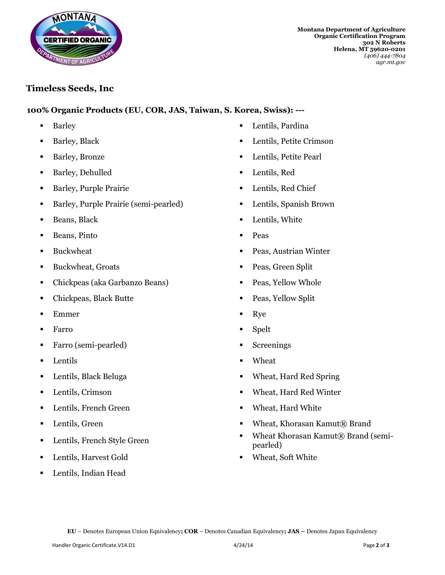

**Montana Department of Agriculture Organic Certification Program 302 N Roberts Helena, MT 59620-0201** *(406) 444-7804 agr.mt.gov*

### **Timeless Seeds, Inc**

**100% Organic Products (EU, COR, JAS, Taiwan, S. Korea, Swiss): ---**

- 
- 
- 
- Barley, Dehulled Lentils, Red
- Barley, Purple Prairie Lentils, Red Chief
- Barley, Purple Prairie (semi-pearled) Lentils, Spanish Brown
- 
- Beans, Pinto Peas
- 
- **Buckwheat, Groats Peas, Green Split**
- Chickpeas (aka Garbanzo Beans) Peas, Yellow Whole
- Chickpeas, Black Butte Peas, Yellow Split
- Emmer Nye
- Farro Spelt
- Farro (semi-pearled) Screenings
- Lentils Wheat
- 
- 
- Lentils, French Green **Calcular Contains Container Meat** Wheat, Hard White
- 
- 
- Lentils, Harvest Gold Wheat, Soft White
- Lentils, Indian Head
- Barley **Lentils, Pardina**
- Barley, Black Lentils, Petite Crimson
- Barley, Bronze Lentils, Petite Pearl
	-
	-
	-
- **Beans, Black**  Lentils, White
	-
- Buckwheat Peas, Austrian Winter
	-
	-
	-
	-
	-
	-
	-
- Lentils, Black Beluga **Constanting Constanting Constanting Constanting Constanting Constanting Constanting Constanting Constanting Constanting Constanting Constanting Constanting Constanting Constanting Constanting Const**
- Lentils, Crimson Wheat, Hard Red Winter
	-
- Lentils, Green 
Wheat, Khorasan Kamut® Brand
- Lentils, French Style Green Wheat Khorasan Kamut® Brand (semipearled)
	-